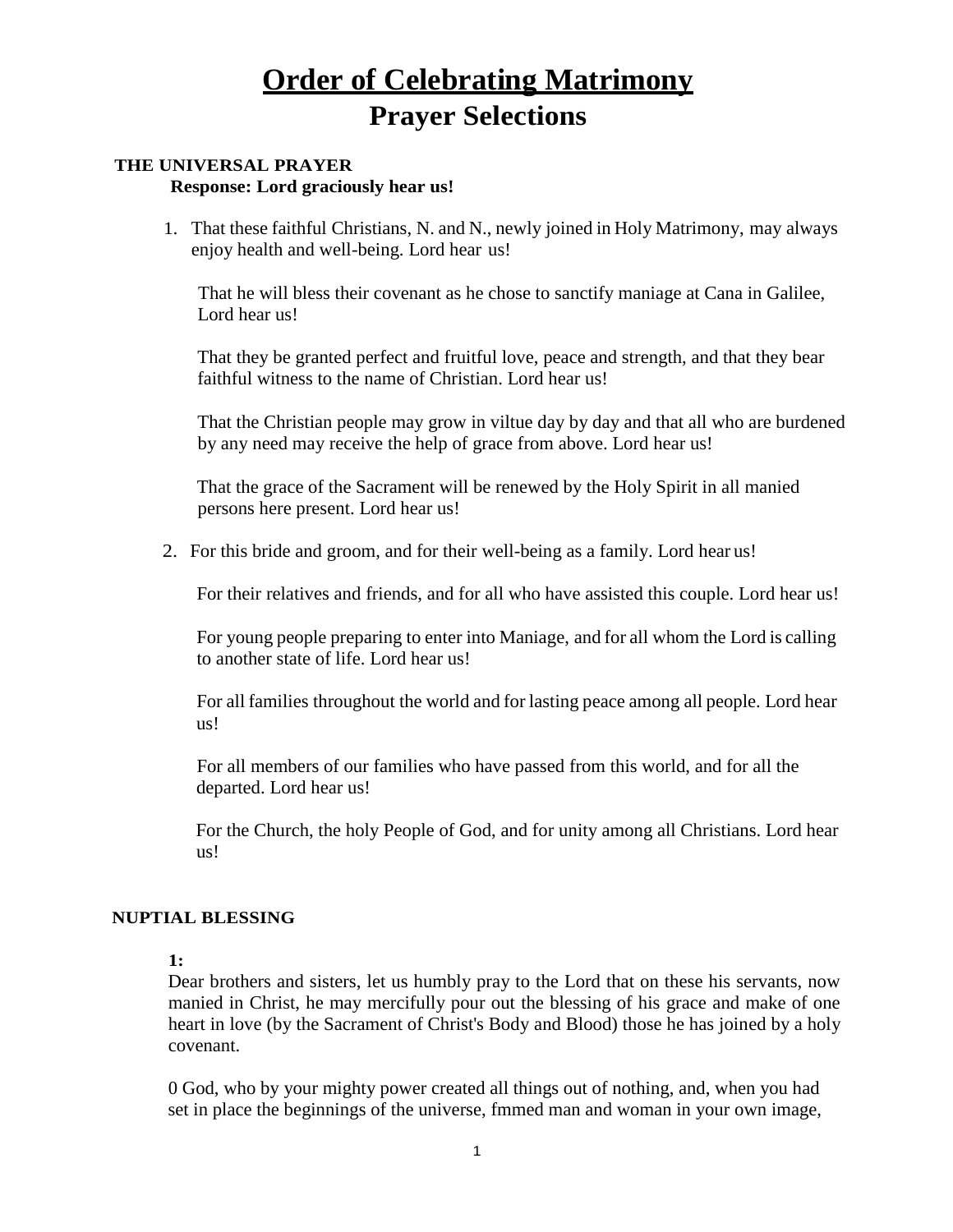# **Order of Celebrating Matrimony Prayer Selections**

## **THE UNIVERSAL PRAYER**

**Response: Lord graciously hear us!**

1. That these faithful Christians, N. and N., newly joined in Holy Matrimony, may always enjoy health and well-being. Lord hear us!

That he will bless their covenant as he chose to sanctify maniage at Cana in Galilee, Lord hear us!

That they be granted perfect and fruitful love, peace and strength, and that they bear faithful witness to the name of Christian. Lord hear us!

That the Christian people may grow in viltue day by day and that all who are burdened by any need may receive the help of grace from above. Lord hear us!

That the grace of the Sacrament will be renewed by the Holy Spirit in all manied persons here present. Lord hear us!

2. For this bride and groom, and for their well-being as a family. Lord hear us!

For their relatives and friends, and for all who have assisted this couple. Lord hear us!

For young people preparing to enter into Maniage, and for all whom the Lord is calling to another state of life. Lord hear us!

For all families throughout the world and for lasting peace among all people. Lord hear us!

For all members of our families who have passed from this world, and for all the departed. Lord hear us!

For the Church, the holy People of God, and for unity among all Christians. Lord hear us!

#### **NUPTIAL BLESSING**

#### **1:**

Dear brothers and sisters, let us humbly pray to the Lord that on these his servants, now manied in Christ, he may mercifully pour out the blessing of his grace and make of one heart in love (by the Sacrament of Christ's Body and Blood) those he has joined by a holy covenant.

0 God, who by your mighty power created all things out of nothing, and, when you had set in place the beginnings of the universe, fmmed man and woman in your own image,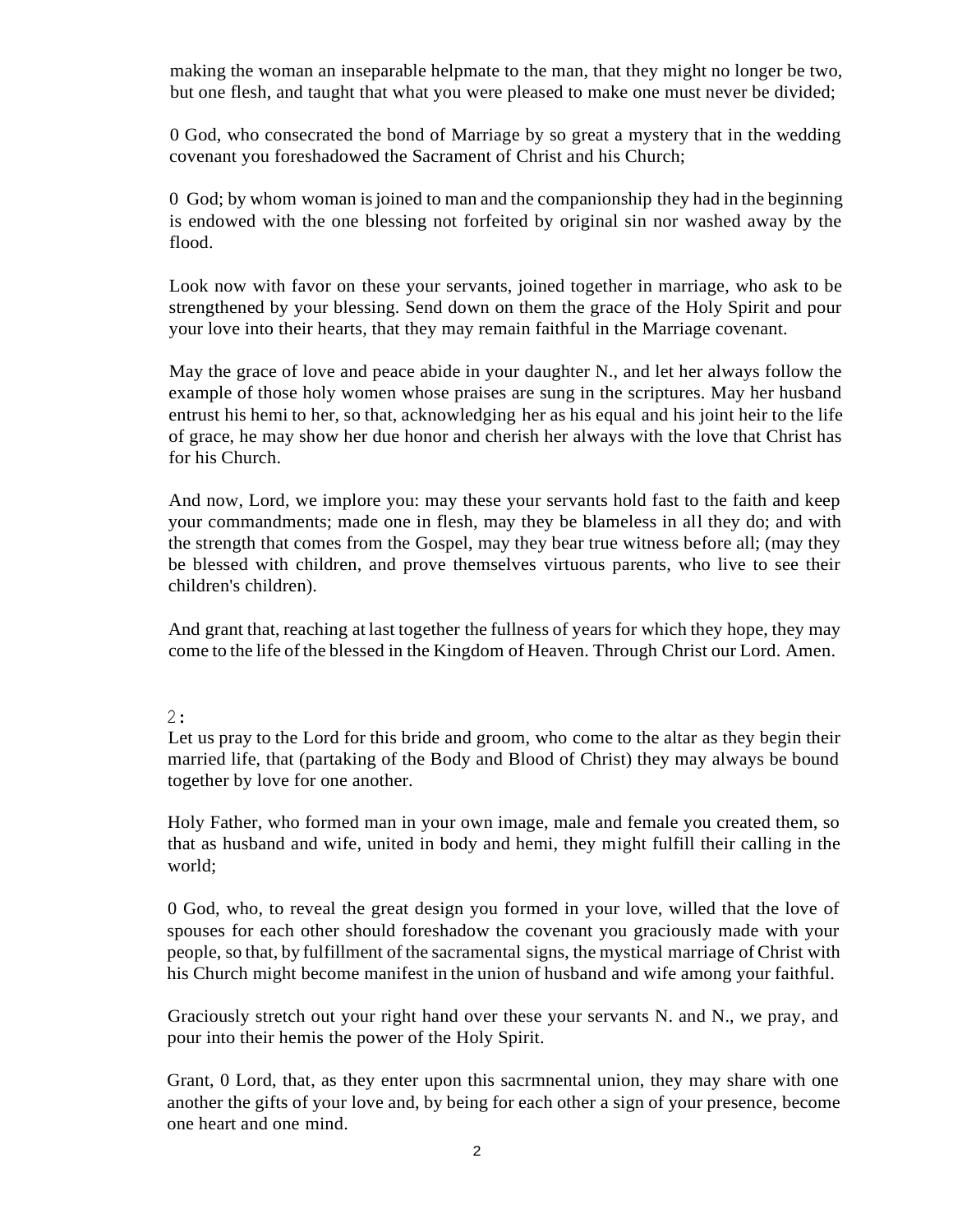making the woman an inseparable helpmate to the man, that they might no longer be two, but one flesh, and taught that what you were pleased to make one must never be divided;

0 God, who consecrated the bond of Marriage by so great a mystery that in the wedding covenant you foreshadowed the Sacrament of Christ and his Church;

0 God; by whom woman isjoined to man and the companionship they had in the beginning is endowed with the one blessing not forfeited by original sin nor washed away by the flood.

Look now with favor on these your servants, joined together in marriage, who ask to be strengthened by your blessing. Send down on them the grace of the Holy Spirit and pour your love into their hearts, that they may remain faithful in the Marriage covenant.

May the grace of love and peace abide in your daughter N., and let her always follow the example of those holy women whose praises are sung in the scriptures. May her husband entrust his hemi to her, so that, acknowledging her as his equal and his joint heir to the life of grace, he may show her due honor and cherish her always with the love that Christ has for his Church.

And now, Lord, we implore you: may these your servants hold fast to the faith and keep your commandments; made one in flesh, may they be blameless in all they do; and with the strength that comes from the Gospel, may they bear true witness before all; (may they be blessed with children, and prove themselves virtuous parents, who live to see their children's children).

And grant that, reaching at last together the fullness of years for which they hope, they may come to the life of the blessed in the Kingdom of Heaven. Through Christ our Lord. Amen.

#### 2:

Let us pray to the Lord for this bride and groom, who come to the altar as they begin their married life, that (partaking of the Body and Blood of Christ) they may always be bound together by love for one another.

Holy Father, who formed man in your own image, male and female you created them, so that as husband and wife, united in body and hemi, they might fulfill their calling in the world;

0 God, who, to reveal the great design you formed in your love, willed that the love of spouses for each other should foreshadow the covenant you graciously made with your people, so that, by fulfillment of the sacramental signs, the mystical marriage of Christ with his Church might become manifest in the union of husband and wife among your faithful.

Graciously stretch out your right hand over these your servants N. and N., we pray, and pour into their hemis the power of the Holy Spirit.

Grant, 0 Lord, that, as they enter upon this sacrmnental union, they may share with one another the gifts of your love and, by being for each other a sign of your presence, become one heart and one mind.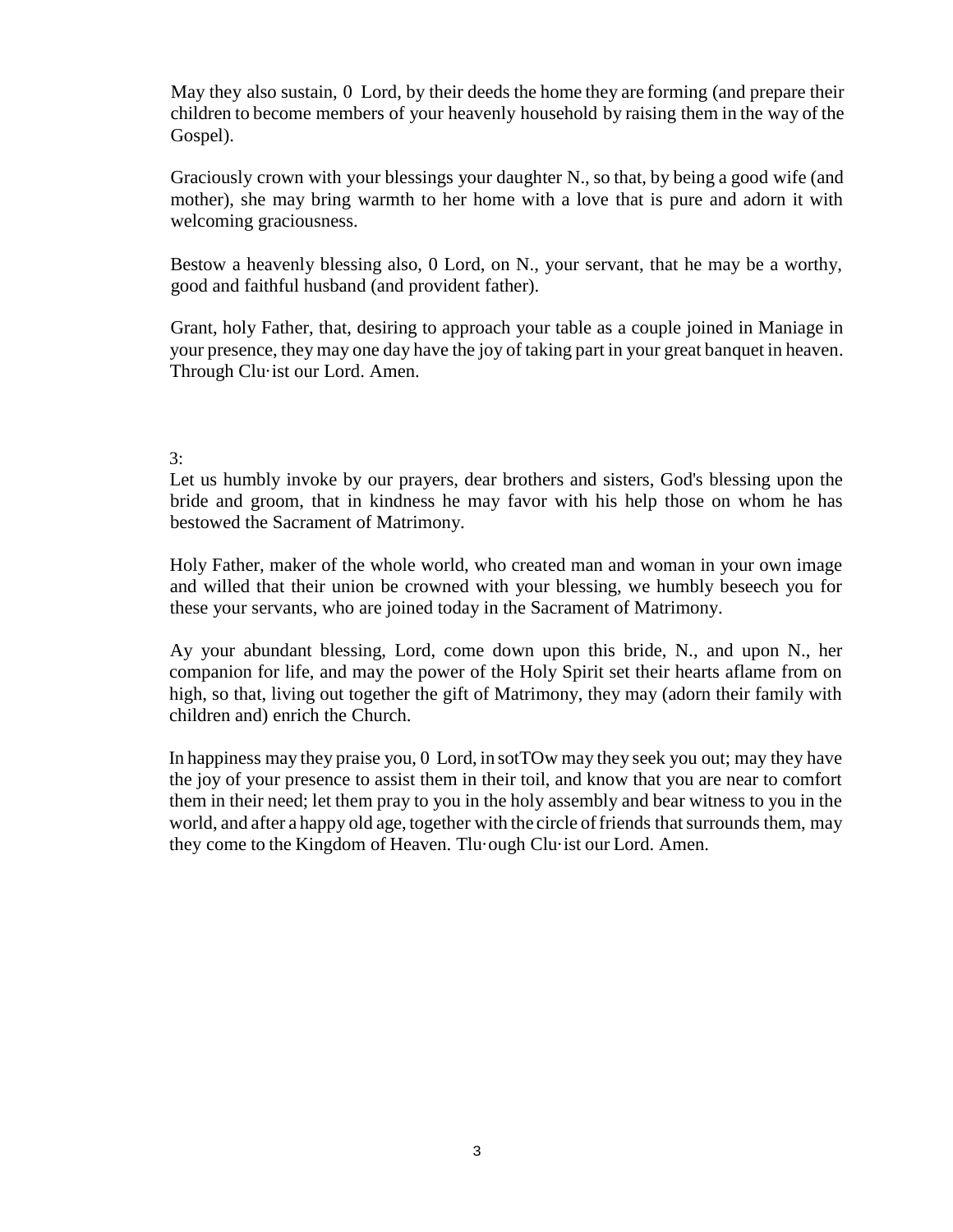May they also sustain, 0 Lord, by their deeds the home they are forming (and prepare their children to become members of your heavenly household by raising them in the way of the Gospel).

Graciously crown with your blessings your daughter N., so that, by being a good wife (and mother), she may bring warmth to her home with a love that is pure and adorn it with welcoming graciousness.

Bestow a heavenly blessing also, 0 Lord, on N., your servant, that he may be a worthy, good and faithful husband (and provident father).

Grant, holy Father, that, desiring to approach your table as a couple joined in Maniage in your presence, they may one day have the joy of taking part in your great banquet in heaven. Through Clu·ist our Lord. Amen.

#### 3:

Let us humbly invoke by our prayers, dear brothers and sisters, God's blessing upon the bride and groom, that in kindness he may favor with his help those on whom he has bestowed the Sacrament of Matrimony.

Holy Father, maker of the whole world, who created man and woman in your own image and willed that their union be crowned with your blessing, we humbly beseech you for these your servants, who are joined today in the Sacrament of Matrimony.

Ay your abundant blessing, Lord, come down upon this bride, N., and upon N., her companion for life, and may the power of the Holy Spirit set their hearts aflame from on high, so that, living out together the gift of Matrimony, they may (adorn their family with children and) enrich the Church.

In happiness may they praise you, 0 Lord, in sotTOw may they seek you out; may they have the joy of your presence to assist them in their toil, and know that you are near to comfort them in their need; let them pray to you in the holy assembly and bear witness to you in the world, and after a happy old age, together with the circle of friends that surrounds them, may they come to the Kingdom of Heaven. Tlu·ough Clu·ist our Lord. Amen.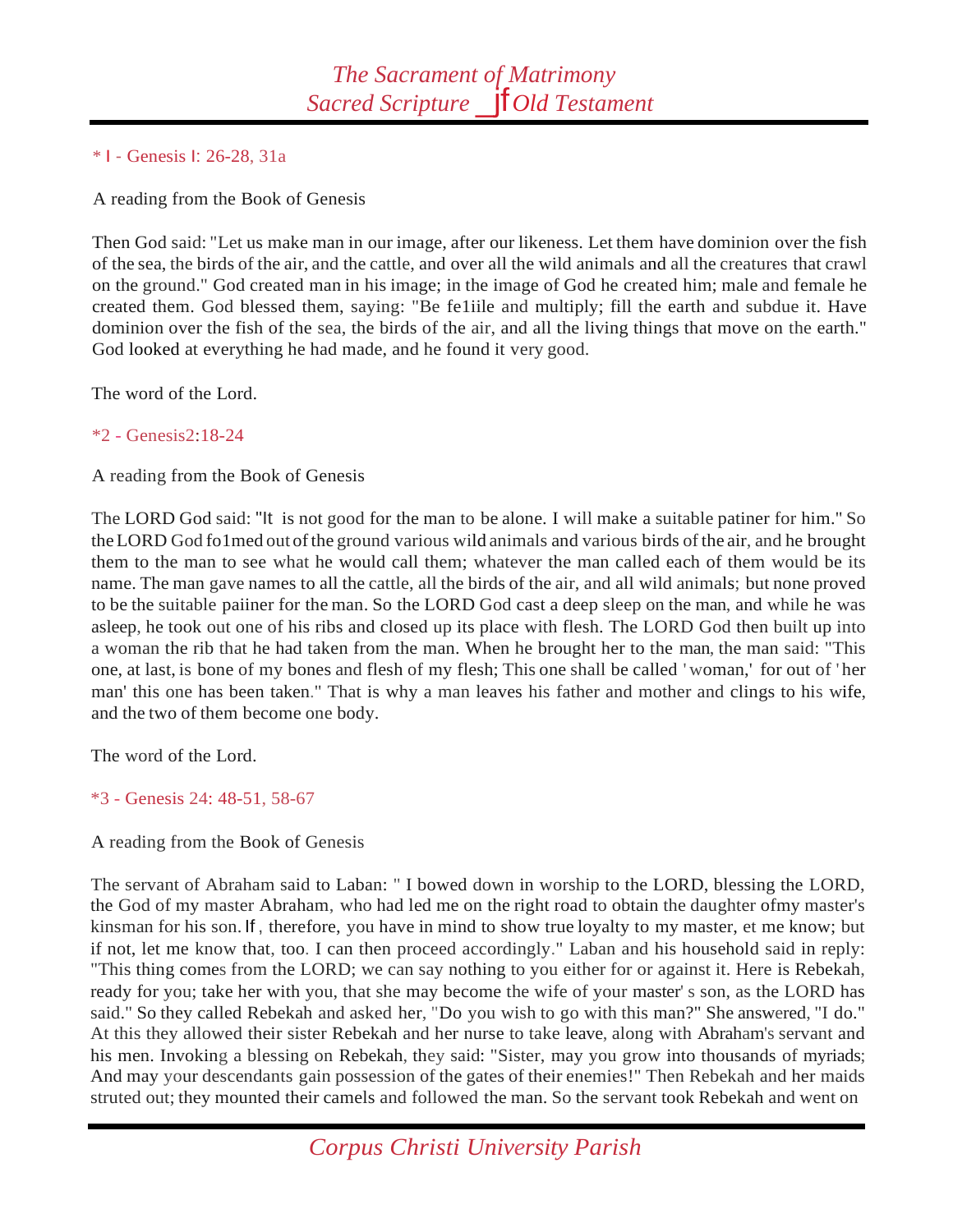#### \* I - Genesis I: 26-28, 31a

A reading from the Book of Genesis

Then God said: "Let us make man in our image, after our likeness. Let them have dominion over the fish of the sea, the birds of the air, and the cattle, and over all the wild animals and all the creatures that crawl on the ground." God created man in his image; in the image of God he created him; male and female he created them. God blessed them, saying: "Be fe1iile and multiply; fill the earth and subdue it. Have dominion over the fish of the sea, the birds of the air, and all the living things that move on the earth." God looked at everything he had made, and he found it very good.

The word of the Lord.

## \*2 - Genesis2:18-24

A reading from the Book of Genesis

The LORD God said: "It is not good for the man to be alone. I will make a suitable patiner for him." So theLORD God fo1med out ofthe ground various wild animals and various birds of the air, and he brought them to the man to see what he would call them; whatever the man called each of them would be its name. The man gave names to all the cattle, all the birds of the air, and all wild animals; but none proved to be the suitable paiiner for the man. So the LORD God cast a deep sleep on the man, and while he was asleep, he took out one of his ribs and closed up its place with flesh. The LORD God then built up into a woman the rib that he had taken from the man. When he brought her to the man, the man said: "This one, at last, is bone of my bones and flesh of my flesh; This one shall be called ' woman,' for out of ' her man' this one has been taken." That is why a man leaves his father and mother and clings to his wife, and the two of them become one body.

The word of the Lord.

\*3 - Genesis 24: 48-51, 58-67

A reading from the Book of Genesis

The servant of Abraham said to Laban: " I bowed down in worship to the LORD, blessing the LORD, the God of my master Abraham, who had led me on the right road to obtain the daughter ofmy master's kinsman for his son. If , therefore, you have in mind to show true loyalty to my master, et me know; but if not, let me know that, too. I can then proceed accordingly." Laban and his household said in reply: "This thing comes from the LORD; we can say nothing to you either for or against it. Here is Rebekah, ready for you; take her with you, that she may become the wife of your master' s son, as the LORD has said." So they called Rebekah and asked her, "Do you wish to go with this man?" She answered, "I do." At this they allowed their sister Rebekah and her nurse to take leave, along with Abraham's servant and his men. Invoking a blessing on Rebekah, they said: "Sister, may you grow into thousands of myriads; And may your descendants gain possession of the gates of their enemies!" Then Rebekah and her maids struted out; they mounted their camels and followed the man. So the servant took Rebekah and went on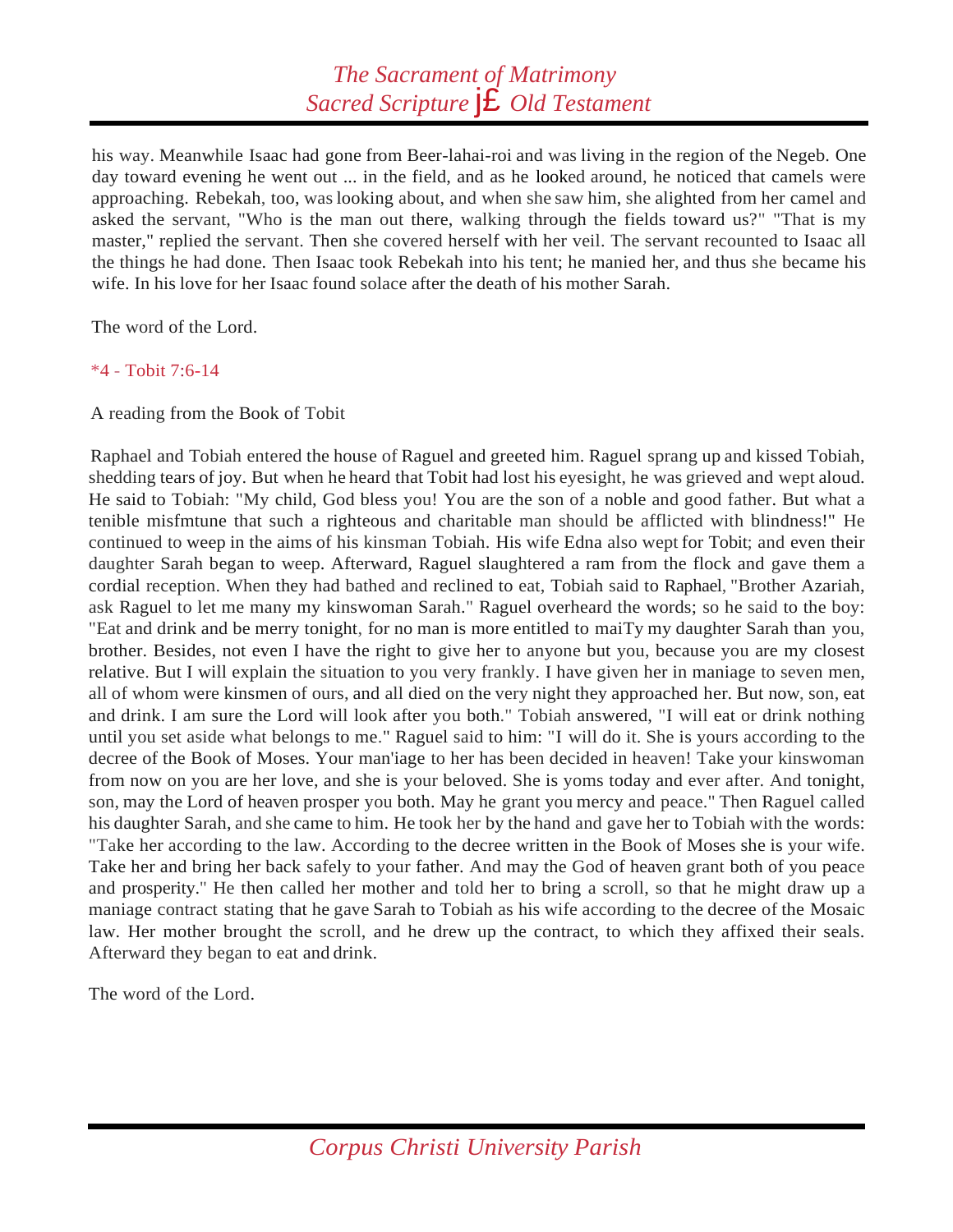his way. Meanwhile Isaac had gone from Beer-lahai-roi and was living in the region of the Negeb. One day toward evening he went out ... in the field, and as he looked around, he noticed that camels were approaching. Rebekah, too, waslooking about, and when she saw him, she alighted from her camel and asked the servant, "Who is the man out there, walking through the fields toward us?" "That is my master," replied the servant. Then she covered herself with her veil. The servant recounted to Isaac all the things he had done. Then Isaac took Rebekah into his tent; he manied her, and thus she became his wife. In his love for her Isaac found solace after the death of his mother Sarah.

The word of the Lord.

#### \*4 - Tobit 7:6-14

A reading from the Book of Tobit

Raphael and Tobiah entered the house of Raguel and greeted him. Raguel sprang up and kissed Tobiah, shedding tears of joy. But when he heard that Tobit had lost his eyesight, he was grieved and wept aloud. He said to Tobiah: "My child, God bless you! You are the son of a noble and good father. But what a tenible misfmtune that such a righteous and charitable man should be afflicted with blindness!" He continued to weep in the aims of his kinsman Tobiah. His wife Edna also wept for Tobit; and even their daughter Sarah began to weep. Afterward, Raguel slaughtered a ram from the flock and gave them a cordial reception. When they had bathed and reclined to eat, Tobiah said to Raphael, "Brother Azariah, ask Raguel to let me many my kinswoman Sarah." Raguel overheard the words; so he said to the boy: "Eat and drink and be merry tonight, for no man is more entitled to maiTy my daughter Sarah than you, brother. Besides, not even I have the right to give her to anyone but you, because you are my closest relative. But I will explain the situation to you very frankly. I have given her in maniage to seven men, all of whom were kinsmen of ours, and all died on the very night they approached her. But now, son, eat and drink. I am sure the Lord will look after you both." Tobiah answered, "I will eat or drink nothing until you set aside what belongs to me." Raguel said to him: "I will do it. She is yours according to the decree of the Book of Moses. Your man'iage to her has been decided in heaven! Take your kinswoman from now on you are her love, and she is your beloved. She is yoms today and ever after. And tonight, son, may the Lord of heaven prosper you both. May he grant you mercy and peace." Then Raguel called his daughter Sarah, and she came to him. He took her by the hand and gave her to Tobiah with the words: "Take her according to the law. According to the decree written in the Book of Moses she is your wife. Take her and bring her back safely to your father. And may the God of heaven grant both of you peace and prosperity." He then called her mother and told her to bring a scroll, so that he might draw up a maniage contract stating that he gave Sarah to Tobiah as his wife according to the decree of the Mosaic law. Her mother brought the scroll, and he drew up the contract, to which they affixed their seals. Afterward they began to eat and drink.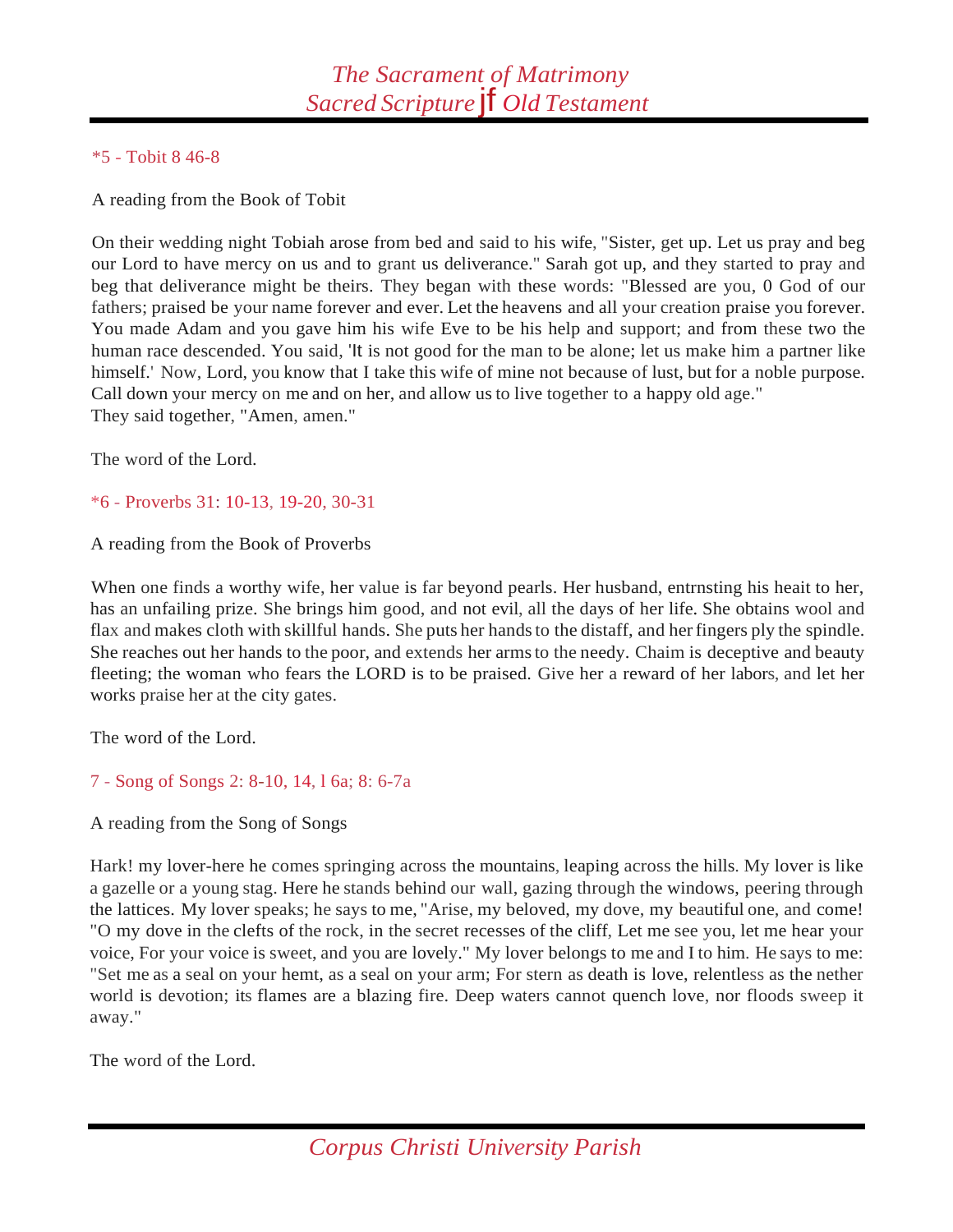## \*5 - Tobit 8 46-8

A reading from the Book of Tobit

On their wedding night Tobiah arose from bed and said to his wife, "Sister, get up. Let us pray and beg our Lord to have mercy on us and to grant us deliverance." Sarah got up, and they started to pray and beg that deliverance might be theirs. They began with these words: "Blessed are you, 0 God of our fathers; praised be your name forever and ever. Let the heavens and all your creation praise you forever. You made Adam and you gave him his wife Eve to be his help and support; and from these two the human race descended. You said, 'It is not good for the man to be alone; let us make him a partner like himself.' Now, Lord, you know that I take this wife of mine not because of lust, but for a noble purpose. Call down your mercy on me and on her, and allow usto live together to a happy old age." They said together, "Amen, amen."

The word of the Lord.

\*6 - Proverbs 31: 10-13, 19-20, 30-31

A reading from the Book of Proverbs

When one finds a worthy wife, her value is far beyond pearls. Her husband, entrnsting his heait to her, has an unfailing prize. She brings him good, and not evil, all the days of her life. She obtains wool and flax and makes cloth with skillful hands. She puts her handsto the distaff, and herfingers ply the spindle. She reaches out her hands to the poor, and extends her armsto the needy. Chaim is deceptive and beauty fleeting; the woman who fears the LORD is to be praised. Give her a reward of her labors, and let her works praise her at the city gates.

The word of the Lord.

7 - Song of Songs 2: 8-10, 14, l 6a; 8: 6-7a

A reading from the Song of Songs

Hark! my lover-here he comes springing across the mountains, leaping across the hills. My lover is like a gazelle or a young stag. Here he stands behind our wall, gazing through the windows, peering through the lattices. My lover speaks; he says to me, "Arise, my beloved, my dove, my beautiful one, and come! "O my dove in the clefts of the rock, in the secret recesses of the cliff, Let me see you, let me hear your voice, For your voice is sweet, and you are lovely." My lover belongs to me and I to him. He says to me: "Set me as a seal on your hemt, as a seal on your arm; For stern as death is love, relentless as the nether world is devotion; its flames are a blazing fire. Deep waters cannot quench love, nor floods sweep it away."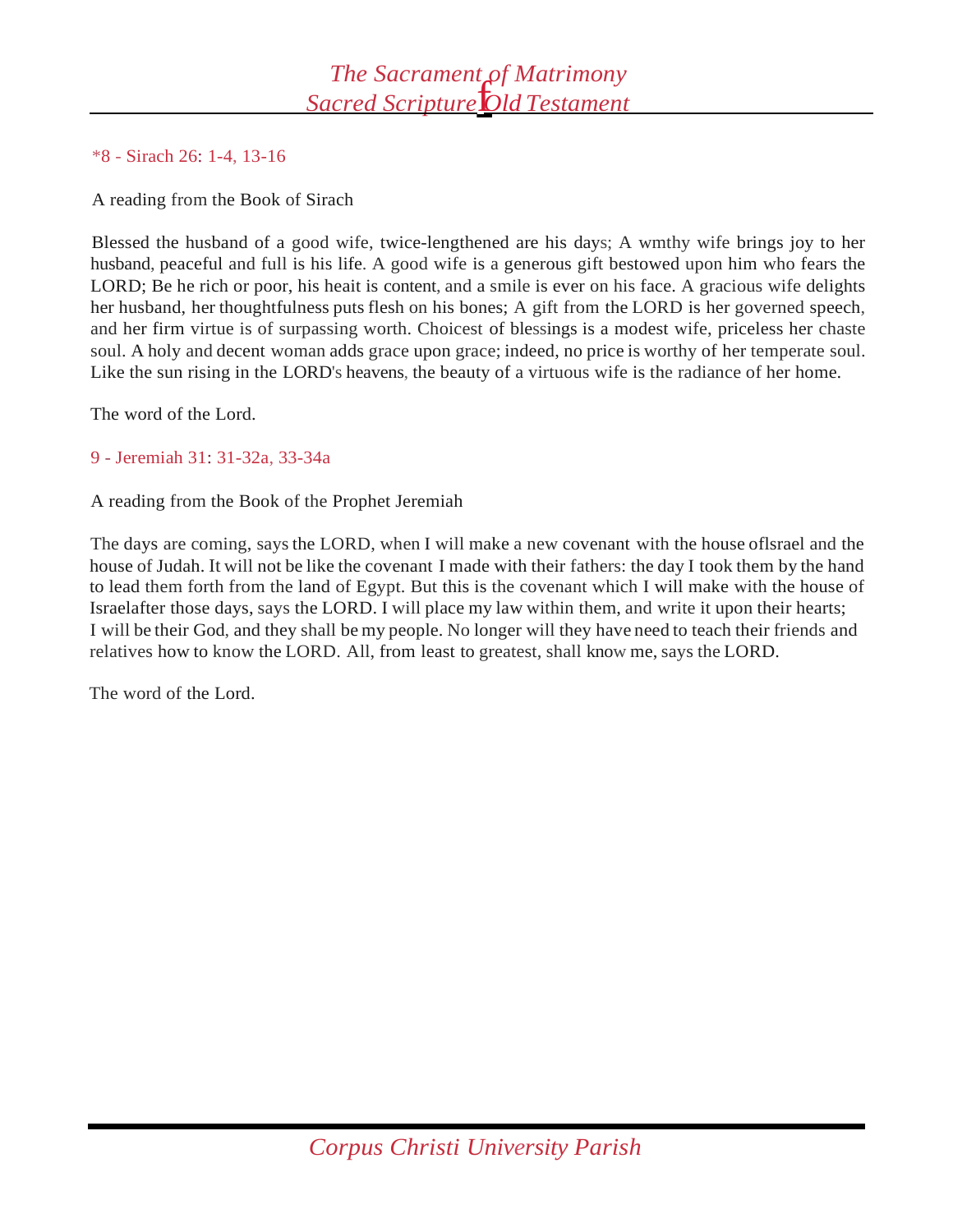\*8 - Sirach 26: 1-4, 13-16

A reading from the Book of Sirach

Blessed the husband of a good wife, twice-lengthened are his days; A wmthy wife brings joy to her husband, peaceful and full is his life. A good wife is a generous gift bestowed upon him who fears the LORD; Be he rich or poor, his heait is content, and a smile is ever on his face. A gracious wife delights her husband, her thoughtfulness puts flesh on his bones; A gift from the LORD is her governed speech, and her firm virtue is of surpassing worth. Choicest of blessings is a modest wife, priceless her chaste soul. A holy and decent woman adds grace upon grace; indeed, no price is worthy of her temperate soul. Like the sun rising in the LORD's heavens, the beauty of a virtuous wife is the radiance of her home.

The word of the Lord.

9 - Jeremiah 31: 31-32a, 33-34a

A reading from the Book of the Prophet Jeremiah

The days are coming, saysthe LORD, when I will make a new covenant with the house oflsrael and the house of Judah. It will not be like the covenant I made with their fathers: the day I took them by the hand to lead them forth from the land of Egypt. But this is the covenant which I will make with the house of Israelafter those days, says the LORD. I will place my law within them, and write it upon their hearts; I will be their God, and they shall be my people. No longer will they have need to teach their friends and relatives how to know the LORD. All, from least to greatest, shall know me, says the LORD.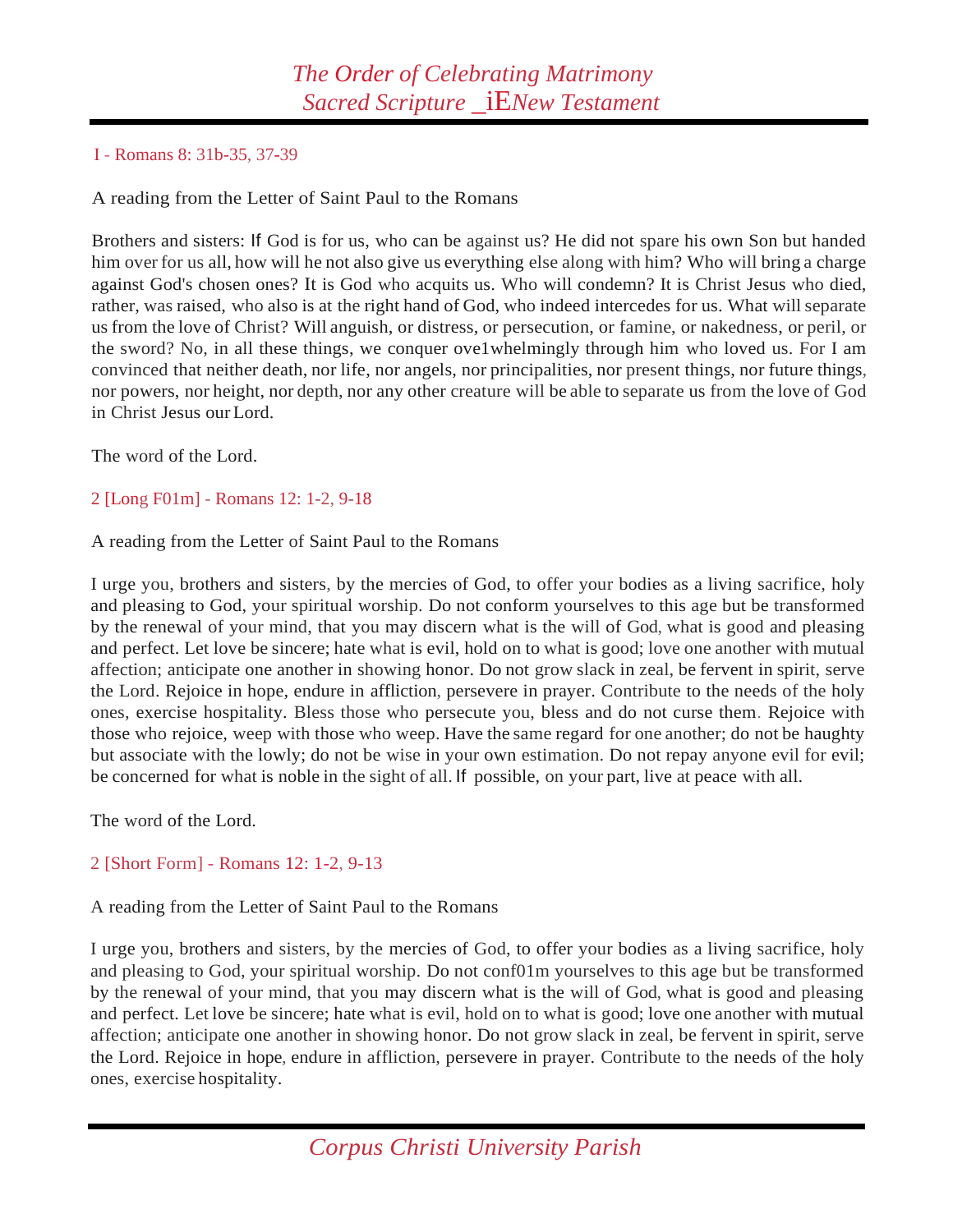## I - Romans 8: 31b-35, 37-39

A reading from the Letter of Saint Paul to the Romans

Brothers and sisters: If God is for us, who can be against us? He did not spare his own Son but handed him over for us all, how will he not also give us everything else along with him? Who will bring a charge against God's chosen ones? It is God who acquits us. Who will condemn? It is Christ Jesus who died, rather, was raised, who also is at the right hand of God, who indeed intercedes for us. What willseparate us from the love of Christ? Will anguish, or distress, or persecution, or famine, or nakedness, or peril, or the sword? No, in all these things, we conquer ove1whelmingly through him who loved us. For I am convinced that neither death, nor life, nor angels, nor principalities, nor present things, nor future things, nor powers, nor height, nor depth, nor any other creature will be able to separate us from the love of God in Christ Jesus ourLord.

The word of the Lord.

2 [Long F01m] - Romans 12: 1-2, 9-18

A reading from the Letter of Saint Paul to the Romans

I urge you, brothers and sisters, by the mercies of God, to offer your bodies as a living sacrifice, holy and pleasing to God, your spiritual worship. Do not conform yourselves to this age but be transformed by the renewal of your mind, that you may discern what is the will of God, what is good and pleasing and perfect. Let love be sincere; hate what is evil, hold on to what is good; love one another with mutual affection; anticipate one another in showing honor. Do not grow slack in zeal, be fervent in spirit, serve the Lord. Rejoice in hope, endure in affliction, persevere in prayer. Contribute to the needs of the holy ones, exercise hospitality. Bless those who persecute you, bless and do not curse them. Rejoice with those who rejoice, weep with those who weep. Have the same regard for one another; do not be haughty but associate with the lowly; do not be wise in your own estimation. Do not repay anyone evil for evil; be concerned for what is noble in the sight of all. If possible, on your part, live at peace with all.

The word of the Lord.

## 2 [Short Form] - Romans 12: 1-2, 9-13

A reading from the Letter of Saint Paul to the Romans

I urge you, brothers and sisters, by the mercies of God, to offer your bodies as a living sacrifice, holy and pleasing to God, your spiritual worship. Do not conf01m yourselves to this age but be transformed by the renewal of your mind, that you may discern what is the will of God, what is good and pleasing and perfect. Let love be sincere; hate what is evil, hold on to what is good; love one another with mutual affection; anticipate one another in showing honor. Do not grow slack in zeal, be fervent in spirit, serve the Lord. Rejoice in hope, endure in affliction, persevere in prayer. Contribute to the needs of the holy ones, exercise hospitality.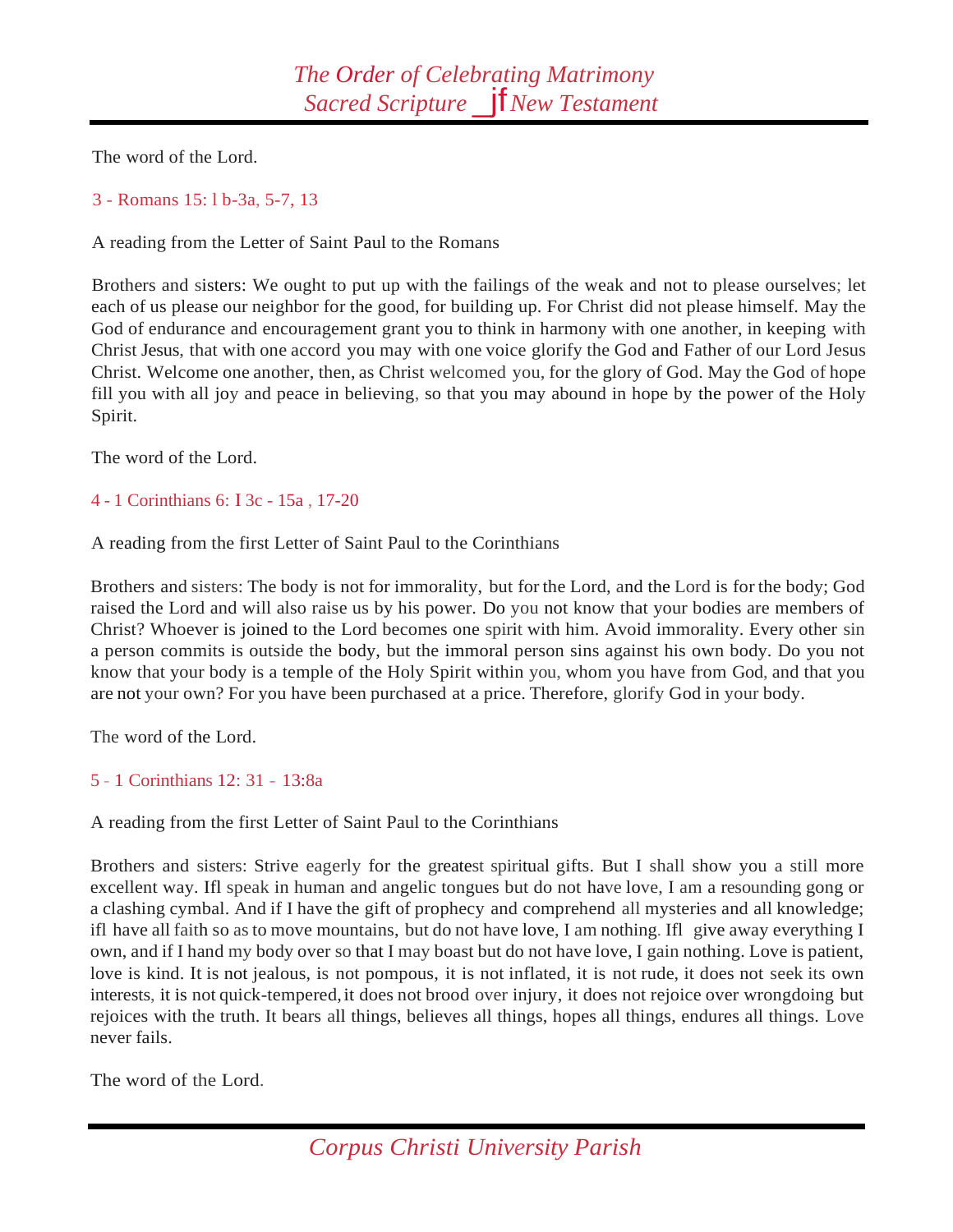The word of the Lord.

3 - Romans 15: l b-3a, 5-7, 13

A reading from the Letter of Saint Paul to the Romans

Brothers and sisters: We ought to put up with the failings of the weak and not to please ourselves; let each of us please our neighbor for the good, for building up. For Christ did not please himself. May the God of endurance and encouragement grant you to think in harmony with one another, in keeping with Christ Jesus, that with one accord you may with one voice glorify the God and Father of our Lord Jesus Christ. Welcome one another, then, as Christ welcomed you, for the glory of God. May the God of hope fill you with all joy and peace in believing, so that you may abound in hope by the power of the Holy Spirit.

The word of the Lord.

4 - 1 Corinthians 6: I 3c - 15a , 17-20

A reading from the first Letter of Saint Paul to the Corinthians

Brothers and sisters: The body is not for immorality, but for the Lord, and the Lord is for the body; God raised the Lord and will also raise us by his power. Do you not know that your bodies are members of Christ? Whoever is joined to the Lord becomes one spirit with him. Avoid immorality. Every other sin a person commits is outside the body, but the immoral person sins against his own body. Do you not know that your body is a temple of the Holy Spirit within you, whom you have from God, and that you are not your own? For you have been purchased at a price. Therefore, glorify God in your body.

The word of the Lord.

# 5 - 1 Corinthians 12: 31 - 13:8a

A reading from the first Letter of Saint Paul to the Corinthians

Brothers and sisters: Strive eagerly for the greatest spiritual gifts. But I shall show you a still more excellent way. Ifl speak in human and angelic tongues but do not have love, I am a resounding gong or a clashing cymbal. And if I have the gift of prophecy and comprehend all mysteries and all knowledge; ifl have all faith so asto move mountains, but do not have love, I am nothing. Ifl give away everything I own, and if I hand my body over so that I may boast but do not have love, I gain nothing. Love is patient, love is kind. It is not jealous, is not pompous, it is not inflated, it is not rude, it does not seek its own interests, it is not quick-tempered,it does not brood over injury, it does not rejoice over wrongdoing but rejoices with the truth. It bears all things, believes all things, hopes all things, endures all things. Love never fails.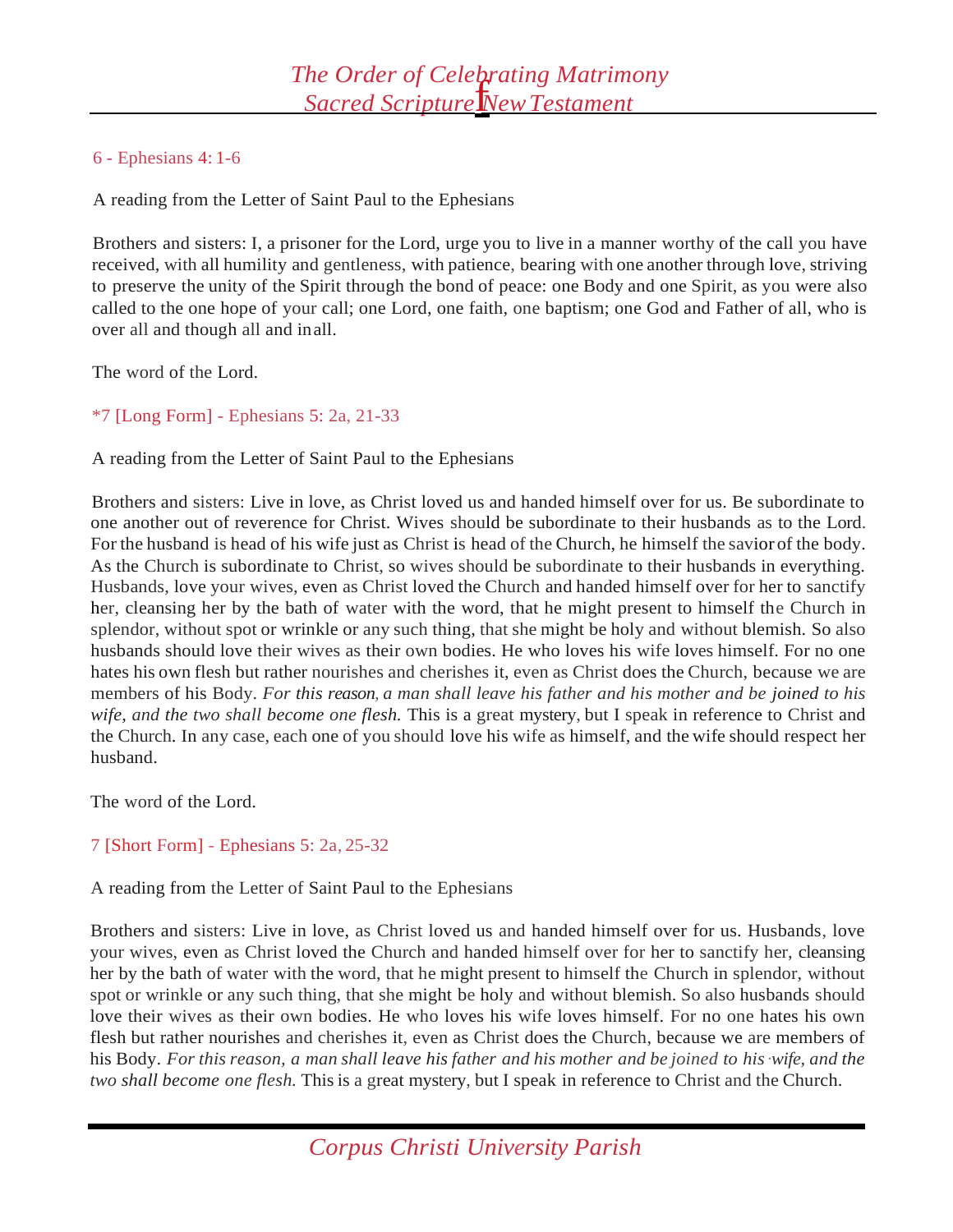## 6 - Ephesians 4: 1-6

A reading from the Letter of Saint Paul to the Ephesians

Brothers and sisters: I, a prisoner for the Lord, urge you to live in a manner worthy of the call you have received, with all humility and gentleness, with patience, bearing with one another through love, striving to preserve the unity of the Spirit through the bond of peace: one Body and one Spirit, as you were also called to the one hope of your call; one Lord, one faith, one baptism; one God and Father of all, who is over all and though all and inall.

The word of the Lord.

\*7 [Long Form] - Ephesians 5: 2a, 21-33

A reading from the Letter of Saint Paul to the Ephesians

Brothers and sisters: Live in love, as Christ loved us and handed himself over for us. Be subordinate to one another out of reverence for Christ. Wives should be subordinate to their husbands as to the Lord. For the husband is head of his wife just as Christ is head of the Church, he himself the savior of the body. As the Church is subordinate to Christ, so wives should be subordinate to their husbands in everything. Husbands, love your wives, even as Christ loved the Church and handed himself over for her to sanctify her, cleansing her by the bath of water with the word, that he might present to himself the Church in splendor, without spot or wrinkle or any such thing, that she might be holy and without blemish. So also husbands should love their wives as their own bodies. He who loves his wife loves himself. For no one hates his own flesh but rather nourishes and cherishes it, even as Christ does the Church, because we are members of his Body. *For this reason, a man shall leave his father and his mother and be joined to his wife, and the two shall become one flesh.* This is a great mystery, but I speak in reference to Christ and the Church. In any case, each one of you should love his wife as himself, and the wife should respect her husband.

The word of the Lord.

## 7 [Short Form] - Ephesians 5: 2a, 25-32

A reading from the Letter of Saint Paul to the Ephesians

Brothers and sisters: Live in love, as Christ loved us and handed himself over for us. Husbands, love your wives, even as Christ loved the Church and handed himself over for her to sanctify her, cleansing her by the bath of water with the word, that he might present to himself the Church in splendor, without spot or wrinkle or any such thing, that she might be holy and without blemish. So also husbands should love their wives as their own bodies. He who loves his wife loves himself. For no one hates his own flesh but rather nourishes and cherishes it, even as Christ does the Church, because we are members of his Body. For this reason, a man shall leave his father and his mother and be joined to his wife, and the *two shall become one flesh.* Thisis a great mystery, but I speak in reference to Christ and the Church.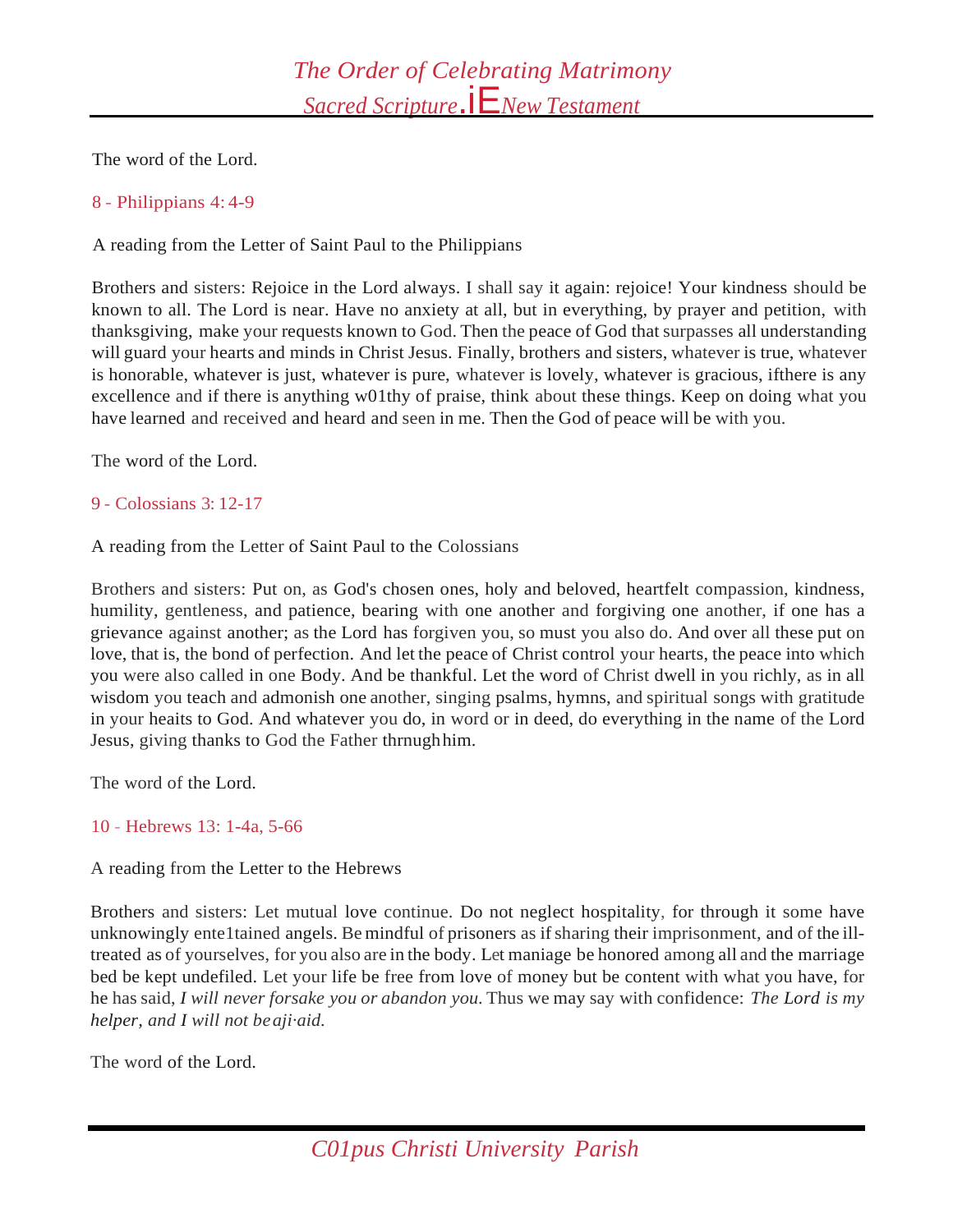The word of the Lord.

## 8 - Philippians 4: 4-9

A reading from the Letter of Saint Paul to the Philippians

Brothers and sisters: Rejoice in the Lord always. I shall say it again: rejoice! Your kindness should be known to all. The Lord is near. Have no anxiety at all, but in everything, by prayer and petition, with thanksgiving, make your requests known to God. Then the peace of God that surpasses all understanding will guard your hearts and minds in Christ Jesus. Finally, brothers and sisters, whatever is true, whatever is honorable, whatever is just, whatever is pure, whatever is lovely, whatever is gracious, ifthere is any excellence and if there is anything w01thy of praise, think about these things. Keep on doing what you have learned and received and heard and seen in me. Then the God of peace will be with you.

The word of the Lord.

## 9 - Colossians 3: 12-17

A reading from the Letter of Saint Paul to the Colossians

Brothers and sisters: Put on, as God's chosen ones, holy and beloved, heartfelt compassion, kindness, humility, gentleness, and patience, bearing with one another and forgiving one another, if one has a grievance against another; as the Lord has forgiven you, so must you also do. And over all these put on love, that is, the bond of perfection. And let the peace of Christ control your hearts, the peace into which you were also called in one Body. And be thankful. Let the word of Christ dwell in you richly, as in all wisdom you teach and admonish one another, singing psalms, hymns, and spiritual songs with gratitude in your heaits to God. And whatever you do, in word or in deed, do everything in the name of the Lord Jesus, giving thanks to God the Father thrnughhim.

The word of the Lord.

# 10 - Hebrews 13: 1-4a, 5-66

# A reading from the Letter to the Hebrews

Brothers and sisters: Let mutual love continue. Do not neglect hospitality, for through it some have unknowingly ente1tained angels. Be mindful of prisoners as ifsharing their imprisonment, and of the illtreated as of yourselves, for you also are in the body. Let maniage be honored among all and the marriage bed be kept undefiled. Let your life be free from love of money but be content with what you have, for he has said, *I will never forsake you or abandon you.* Thus we may say with confidence: *The Lord is my helper, and I will not beaji·aid.*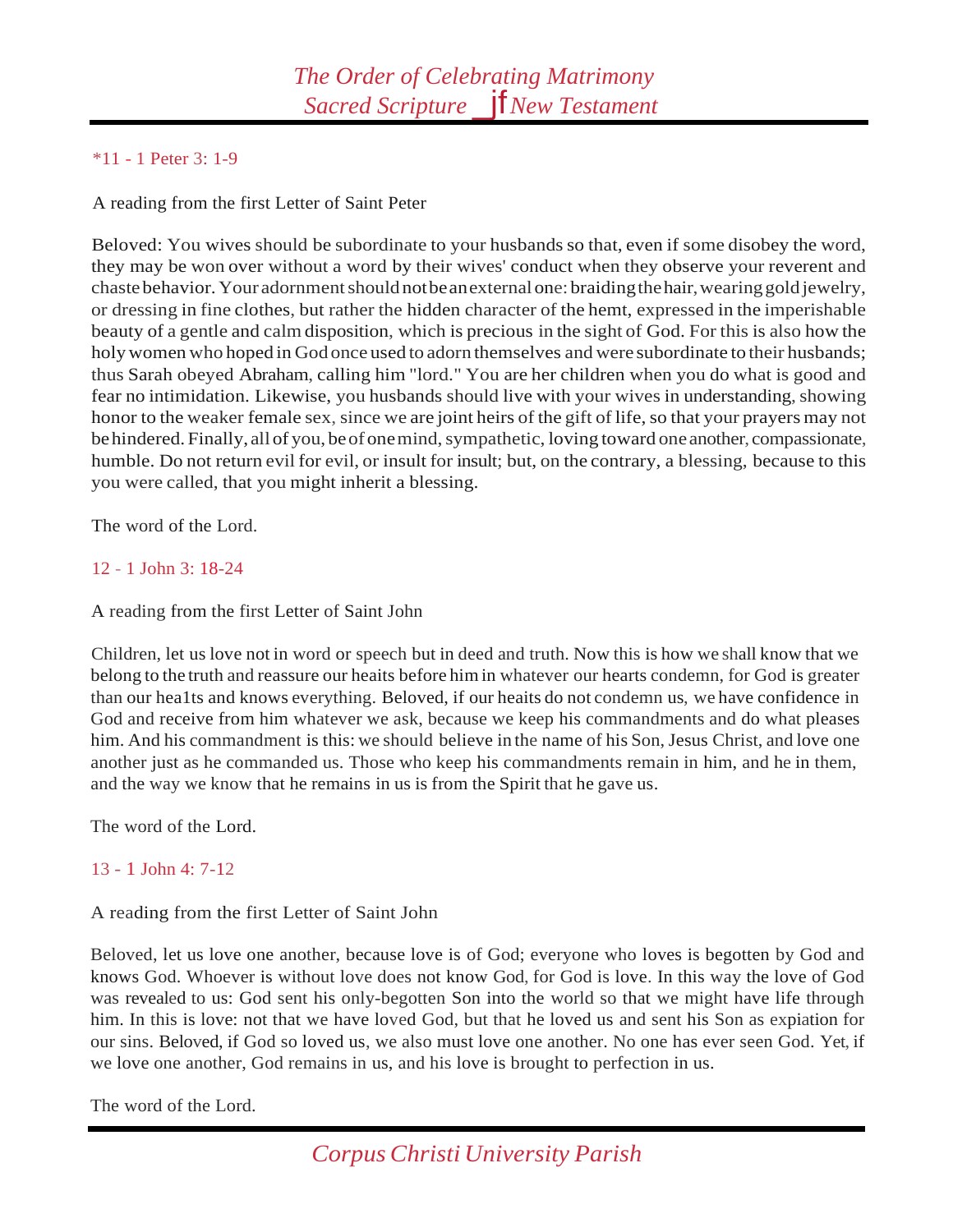## \*11 - 1 Peter 3: 1-9

A reading from the first Letter of Saint Peter

Beloved: You wives should be subordinate to your husbands so that, even if some disobey the word, they may be won over without a word by their wives' conduct when they observe your reverent and chastebehavior.Your adornmentshouldnotbeanexternalone: braidingthehair,wearinggoldjewelry, or dressing in fine clothes, but rather the hidden character of the hemt, expressed in the imperishable beauty of a gentle and calm disposition, which is precious in the sight of God. For this is also how the holywomen who hoped in Godonce used to adorn themselves and were subordinate to their husbands; thus Sarah obeyed Abraham, calling him "lord." You are her children when you do what is good and fear no intimidation. Likewise, you husbands should live with your wives in understanding, showing honor to the weaker female sex, since we are joint heirs of the gift of life, so that your prayers may not behindered. Finally, all of you, be of one mind, sympathetic, loving toward one another, compassionate, humble. Do not return evil for evil, or insult for insult; but, on the contrary, a blessing, because to this you were called, that you might inherit a blessing.

The word of the Lord.

# 12 - 1 John 3: 18-24

A reading from the first Letter of Saint John

Children, let us love not in word or speech but in deed and truth. Now this is how we shall know that we belong to the truth and reassure our heaits before himin whatever our hearts condemn, for God is greater than our hea1ts and knows everything. Beloved, if our heaits do not condemn us, we have confidence in God and receive from him whatever we ask, because we keep his commandments and do what pleases him. And his commandment is this: we should believe in the name of his Son, Jesus Christ, and love one another just as he commanded us. Those who keep his commandments remain in him, and he in them, and the way we know that he remains in us is from the Spirit that he gave us.

The word of the Lord.

# 13 - 1 John 4: 7-12

# A reading from the first Letter of Saint John

Beloved, let us love one another, because love is of God; everyone who loves is begotten by God and knows God. Whoever is without love does not know God, for God is love. In this way the love of God was revealed to us: God sent his only-begotten Son into the world so that we might have life through him. In this is love: not that we have loved God, but that he loved us and sent his Son as expiation for our sins. Beloved, if God so loved us, we also must love one another. No one has ever seen God. Yet, if we love one another, God remains in us, and his love is brought to perfection in us.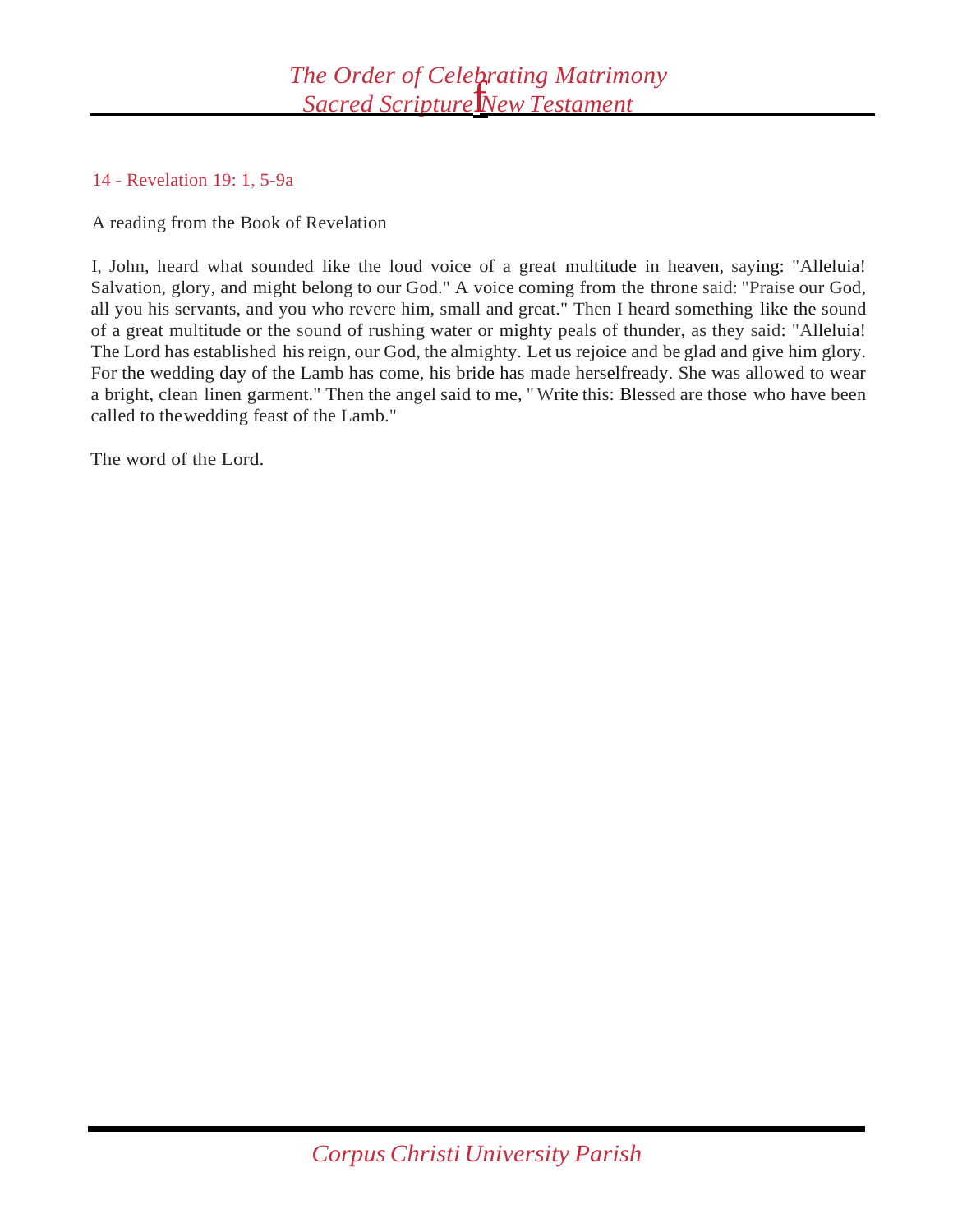14 - Revelation 19: 1, 5-9a

A reading from the Book of Revelation

I, John, heard what sounded like the loud voice of a great multitude in heaven, saying: "Alleluia! Salvation, glory, and might belong to our God." A voice coming from the throne said: "Praise our God, all you his servants, and you who revere him, small and great." Then I heard something like the sound of a great multitude or the sound of rushing water or mighty peals of thunder, as they said: "Alleluia! The Lord has established hisreign, our God, the almighty. Let us rejoice and be glad and give him glory. For the wedding day of the Lamb has come, his bride has made herselfready. She was allowed to wear a bright, clean linen garment." Then the angel said to me, "Write this: Blessed are those who have been called to thewedding feast of the Lamb."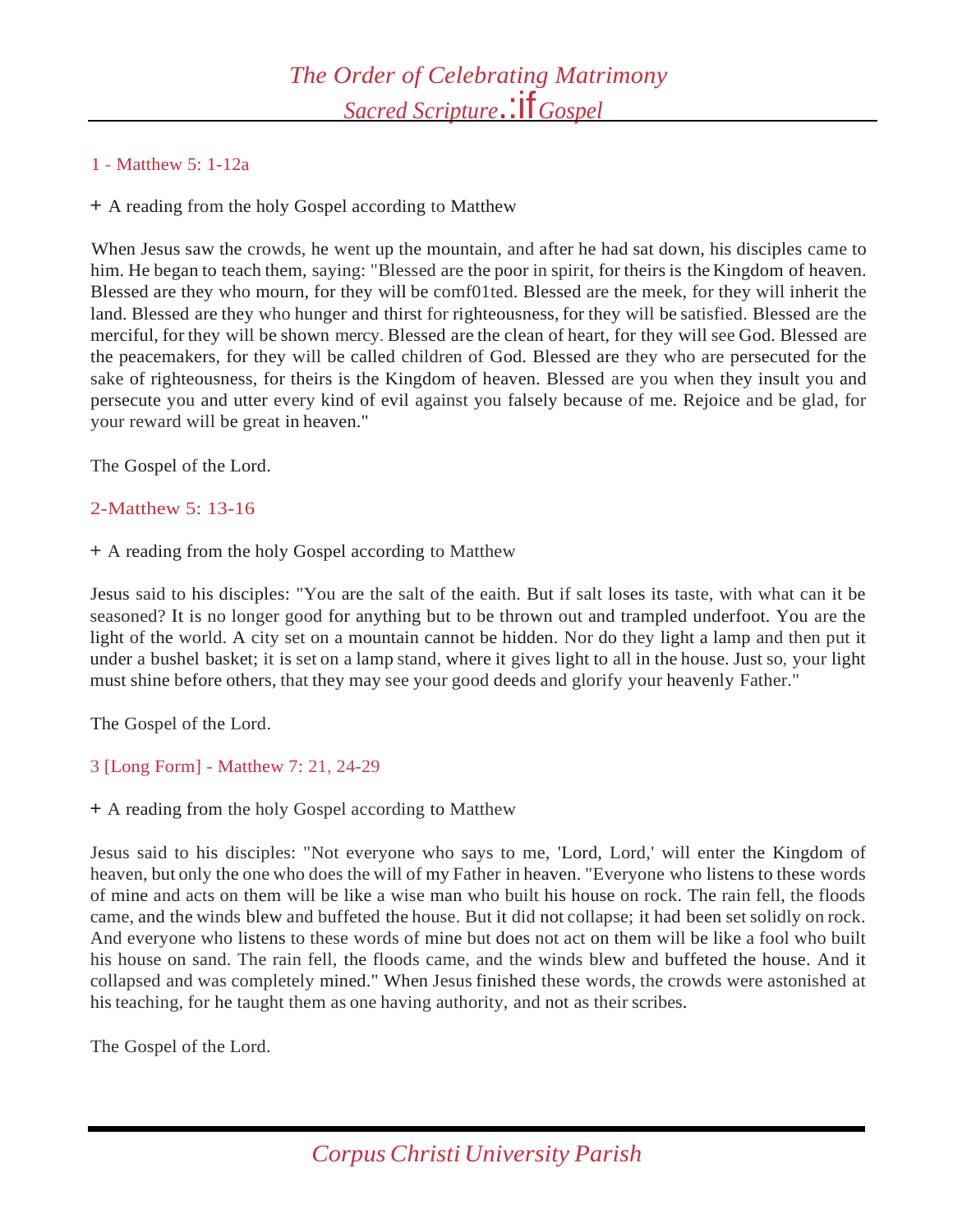#### 1 - Matthew 5: 1-12a

+ A reading from the holy Gospel according to Matthew

When Jesus saw the crowds, he went up the mountain, and after he had sat down, his disciples came to him. He began to teach them, saying: "Blessed are the poor in spirit, for theirs is the Kingdom of heaven. Blessed are they who mourn, for they will be comf01ted. Blessed are the meek, for they will inherit the land. Blessed are they who hunger and thirst for righteousness, for they will be satisfied. Blessed are the merciful, for they will be shown mercy. Blessed are the clean of heart, for they will see God. Blessed are the peacemakers, for they will be called children of God. Blessed are they who are persecuted for the sake of righteousness, for theirs is the Kingdom of heaven. Blessed are you when they insult you and persecute you and utter every kind of evil against you falsely because of me. Rejoice and be glad, for your reward will be great in heaven."

The Gospel of the Lord.

#### 2-Matthew 5: 13-16

+ A reading from the holy Gospel according to Matthew

Jesus said to his disciples: "You are the salt of the eaith. But if salt loses its taste, with what can it be seasoned? It is no longer good for anything but to be thrown out and trampled underfoot. You are the light of the world. A city set on a mountain cannot be hidden. Nor do they light a lamp and then put it under a bushel basket; it is set on a lamp stand, where it gives light to all in the house. Just so, your light must shine before others, that they may see your good deeds and glorify your heavenly Father."

The Gospel of the Lord.

## 3 [Long Form] - Matthew 7: 21, 24-29

+ A reading from the holy Gospel according to Matthew

Jesus said to his disciples: "Not everyone who says to me, 'Lord, Lord,' will enter the Kingdom of heaven, but only the one who does the will of my Father in heaven. "Everyone who listens to these words of mine and acts on them will be like a wise man who built his house on rock. The rain fell, the floods came, and the winds blew and buffeted the house. But it did not collapse; it had been set solidly on rock. And everyone who listens to these words of mine but does not act on them will be like a fool who built his house on sand. The rain fell, the floods came, and the winds blew and buffeted the house. And it collapsed and was completely mined." When Jesus finished these words, the crowds were astonished at histeaching, for he taught them as one having authority, and not as their scribes.

The Gospel of the Lord.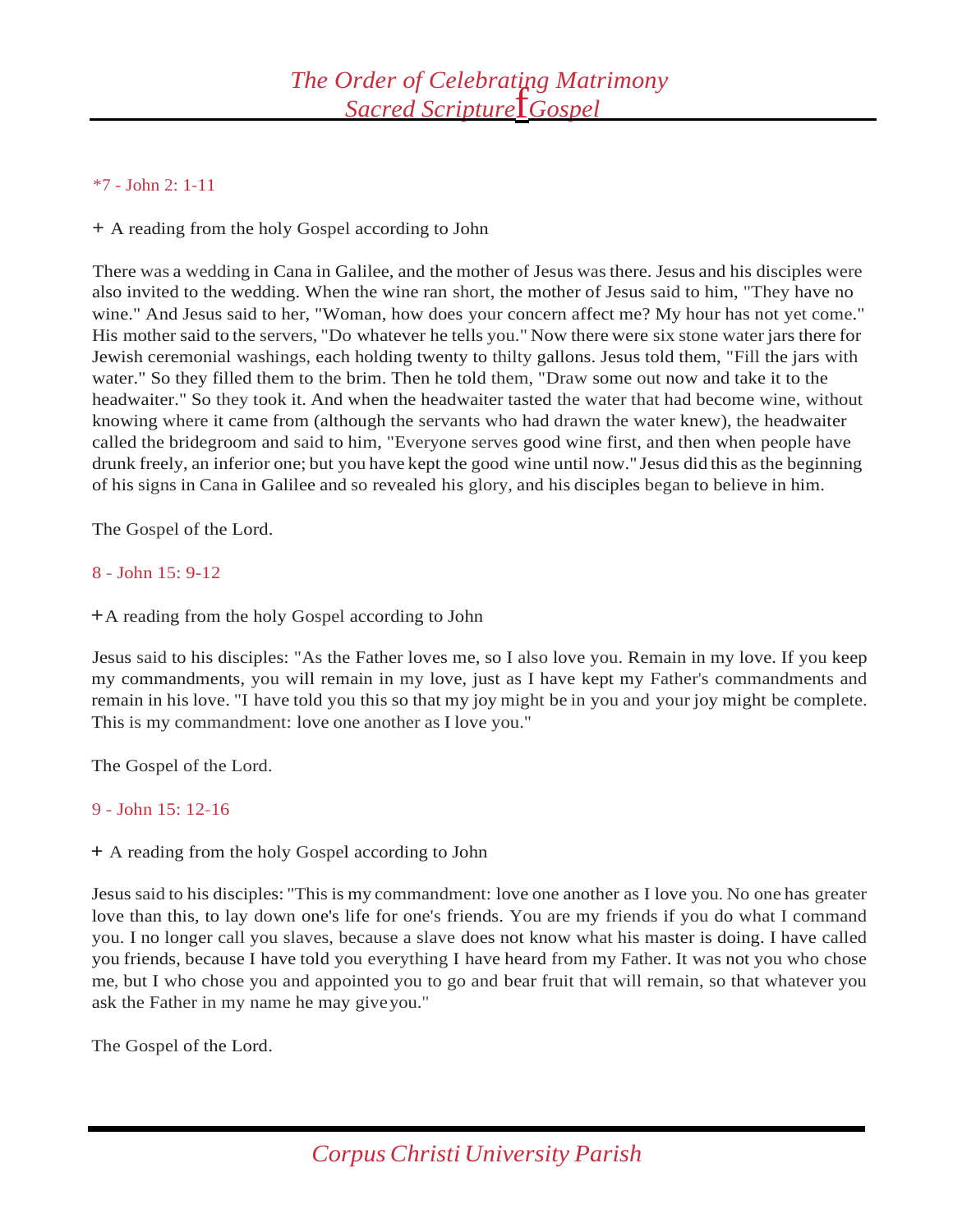#### \*7 - John 2: 1-11

+ A reading from the holy Gospel according to John

There was a wedding in Cana in Galilee, and the mother of Jesus wasthere. Jesus and his disciples were also invited to the wedding. When the wine ran short, the mother of Jesus said to him, "They have no wine." And Jesus said to her, "Woman, how does your concern affect me? My hour has not yet come." His mother said to the servers, "Do whatever he tells you." Now there were six stone water jars there for Jewish ceremonial washings, each holding twenty to thilty gallons. Jesus told them, "Fill the jars with water." So they filled them to the brim. Then he told them, "Draw some out now and take it to the headwaiter." So they took it. And when the headwaiter tasted the water that had become wine, without knowing where it came from (although the servants who had drawn the water knew), the headwaiter called the bridegroom and said to him, "Everyone serves good wine first, and then when people have drunk freely, an inferior one; but you have kept the good wine until now." Jesus did this asthe beginning of his signs in Cana in Galilee and so revealed his glory, and his disciples began to believe in him.

The Gospel of the Lord.

#### 8 - John 15: 9-12

+A reading from the holy Gospel according to John

Jesus said to his disciples: "As the Father loves me, so I also love you. Remain in my love. If you keep my commandments, you will remain in my love, just as I have kept my Father's commandments and remain in his love. "I have told you this so that my joy might be in you and your joy might be complete. This is my commandment: love one another as I love you."

The Gospel of the Lord.

#### 9 - John 15: 12-16

+ A reading from the holy Gospel according to John

Jesus said to his disciples: "This is my commandment: love one another as I love you. No one has greater love than this, to lay down one's life for one's friends. You are my friends if you do what I command you. I no longer call you slaves, because a slave does not know what his master is doing. I have called you friends, because I have told you everything I have heard from my Father. It was not you who chose me, but I who chose you and appointed you to go and bear fruit that will remain, so that whatever you ask the Father in my name he may giveyou."

The Gospel of the Lord.